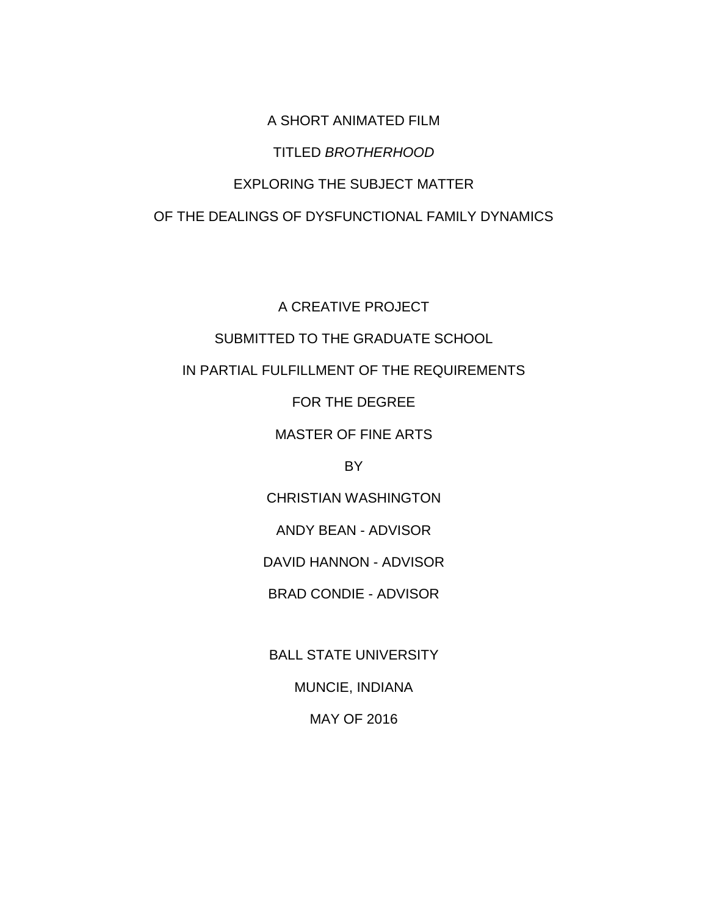A SHORT ANIMATED FILM TITLED *BROTHERHOOD* EXPLORING THE SUBJECT MATTER OF THE DEALINGS OF DYSFUNCTIONAL FAMILY DYNAMICS

A CREATIVE PROJECT SUBMITTED TO THE GRADUATE SCHOOL IN PARTIAL FULFILLMENT OF THE REQUIREMENTS FOR THE DEGREE

MASTER OF FINE ARTS

BY

CHRISTIAN WASHINGTON

ANDY BEAN - ADVISOR

DAVID HANNON - ADVISOR

BRAD CONDIE - ADVISOR

BALL STATE UNIVERSITY

MUNCIE, INDIANA

MAY OF 2016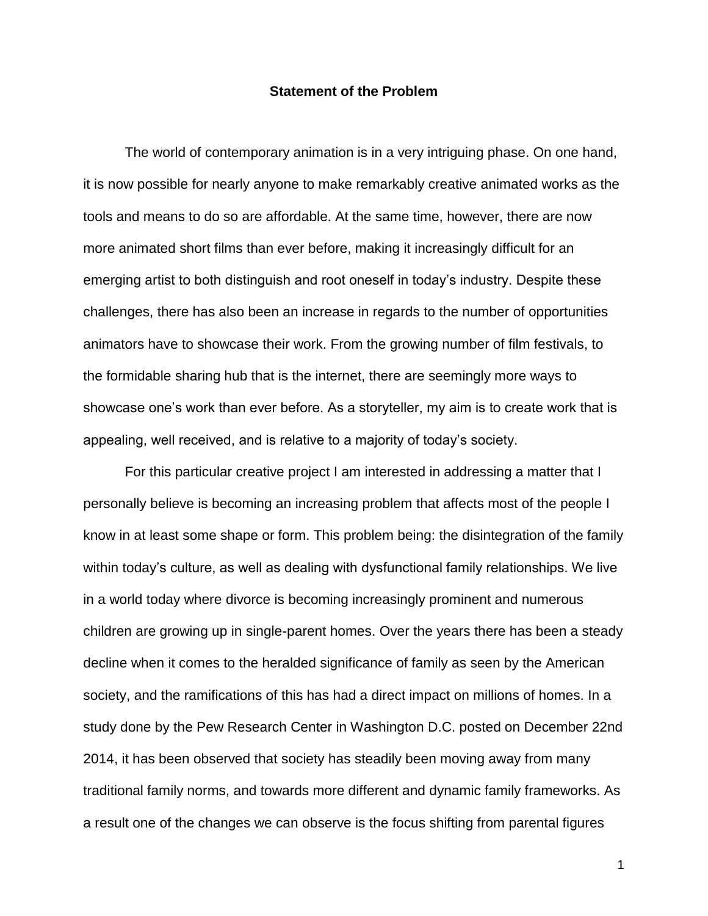#### **Statement of the Problem**

The world of contemporary animation is in a very intriguing phase. On one hand, it is now possible for nearly anyone to make remarkably creative animated works as the tools and means to do so are affordable. At the same time, however, there are now more animated short films than ever before, making it increasingly difficult for an emerging artist to both distinguish and root oneself in today's industry. Despite these challenges, there has also been an increase in regards to the number of opportunities animators have to showcase their work. From the growing number of film festivals, to the formidable sharing hub that is the internet, there are seemingly more ways to showcase one's work than ever before. As a storyteller, my aim is to create work that is appealing, well received, and is relative to a majority of today's society.

For this particular creative project I am interested in addressing a matter that I personally believe is becoming an increasing problem that affects most of the people I know in at least some shape or form. This problem being: the disintegration of the family within today's culture, as well as dealing with dysfunctional family relationships. We live in a world today where divorce is becoming increasingly prominent and numerous children are growing up in single-parent homes. Over the years there has been a steady decline when it comes to the heralded significance of family as seen by the American society, and the ramifications of this has had a direct impact on millions of homes. In a study done by the Pew Research Center in Washington D.C. posted on December 22nd 2014, it has been observed that society has steadily been moving away from many traditional family norms, and towards more different and dynamic family frameworks. As a result one of the changes we can observe is the focus shifting from parental figures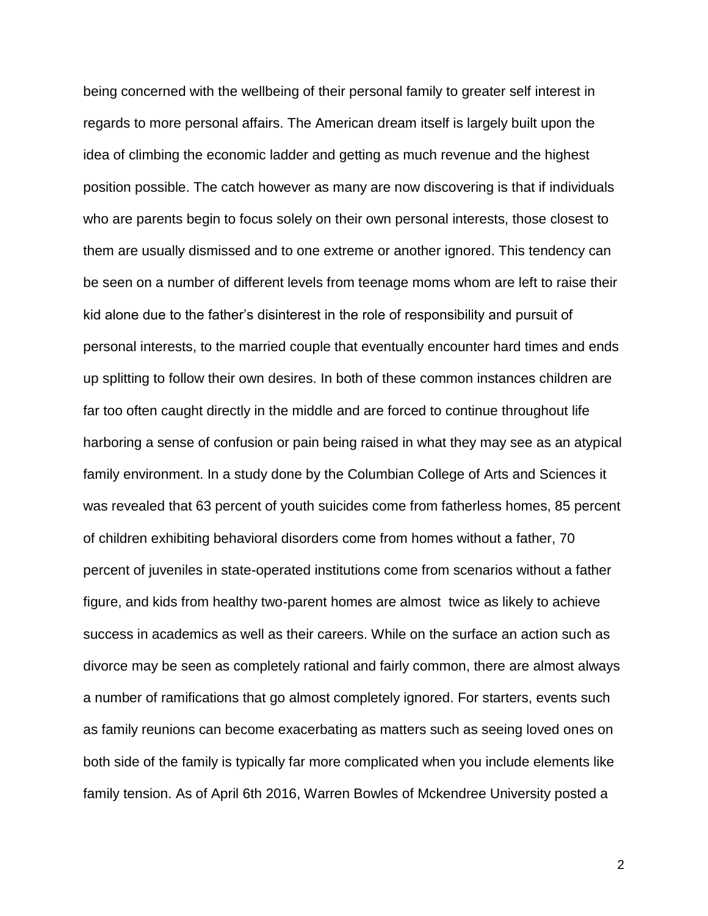being concerned with the wellbeing of their personal family to greater self interest in regards to more personal affairs. The American dream itself is largely built upon the idea of climbing the economic ladder and getting as much revenue and the highest position possible. The catch however as many are now discovering is that if individuals who are parents begin to focus solely on their own personal interests, those closest to them are usually dismissed and to one extreme or another ignored. This tendency can be seen on a number of different levels from teenage moms whom are left to raise their kid alone due to the father's disinterest in the role of responsibility and pursuit of personal interests, to the married couple that eventually encounter hard times and ends up splitting to follow their own desires. In both of these common instances children are far too often caught directly in the middle and are forced to continue throughout life harboring a sense of confusion or pain being raised in what they may see as an atypical family environment. In a study done by the Columbian College of Arts and Sciences it was revealed that 63 percent of youth suicides come from fatherless homes, 85 percent of children exhibiting behavioral disorders come from homes without a father, 70 percent of juveniles in state-operated institutions come from scenarios without a father figure, and kids from healthy two-parent homes are almost twice as likely to achieve success in academics as well as their careers. While on the surface an action such as divorce may be seen as completely rational and fairly common, there are almost always a number of ramifications that go almost completely ignored. For starters, events such as family reunions can become exacerbating as matters such as seeing loved ones on both side of the family is typically far more complicated when you include elements like family tension. As of April 6th 2016, Warren Bowles of Mckendree University posted a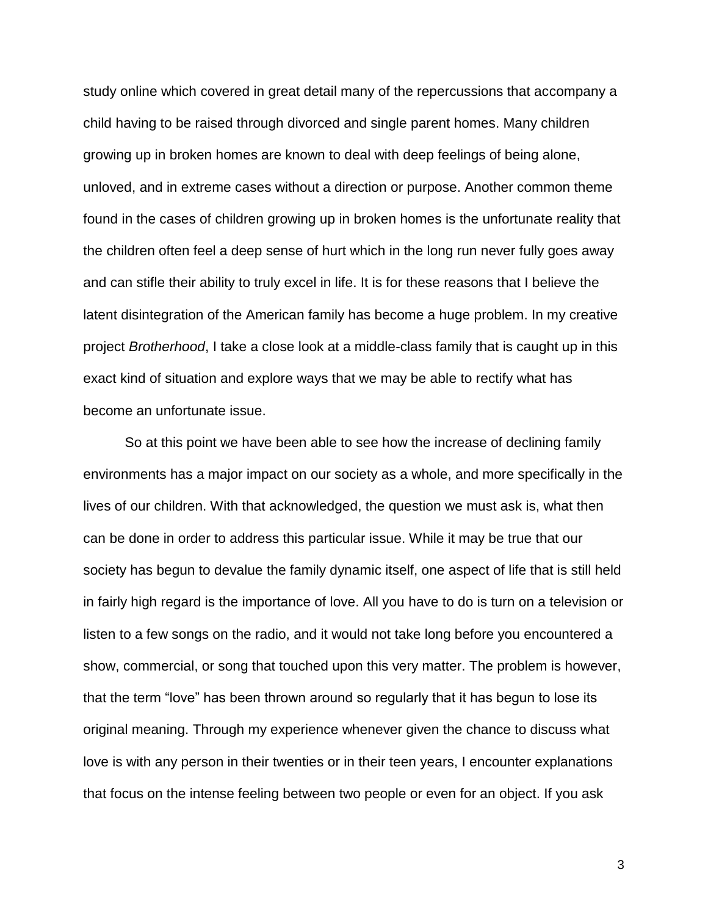study online which covered in great detail many of the repercussions that accompany a child having to be raised through divorced and single parent homes. Many children growing up in broken homes are known to deal with deep feelings of being alone, unloved, and in extreme cases without a direction or purpose. Another common theme found in the cases of children growing up in broken homes is the unfortunate reality that the children often feel a deep sense of hurt which in the long run never fully goes away and can stifle their ability to truly excel in life. It is for these reasons that I believe the latent disintegration of the American family has become a huge problem. In my creative project *Brotherhood*, I take a close look at a middle-class family that is caught up in this exact kind of situation and explore ways that we may be able to rectify what has become an unfortunate issue.

So at this point we have been able to see how the increase of declining family environments has a major impact on our society as a whole, and more specifically in the lives of our children. With that acknowledged, the question we must ask is, what then can be done in order to address this particular issue. While it may be true that our society has begun to devalue the family dynamic itself, one aspect of life that is still held in fairly high regard is the importance of love. All you have to do is turn on a television or listen to a few songs on the radio, and it would not take long before you encountered a show, commercial, or song that touched upon this very matter. The problem is however, that the term "love" has been thrown around so regularly that it has begun to lose its original meaning. Through my experience whenever given the chance to discuss what love is with any person in their twenties or in their teen years, I encounter explanations that focus on the intense feeling between two people or even for an object. If you ask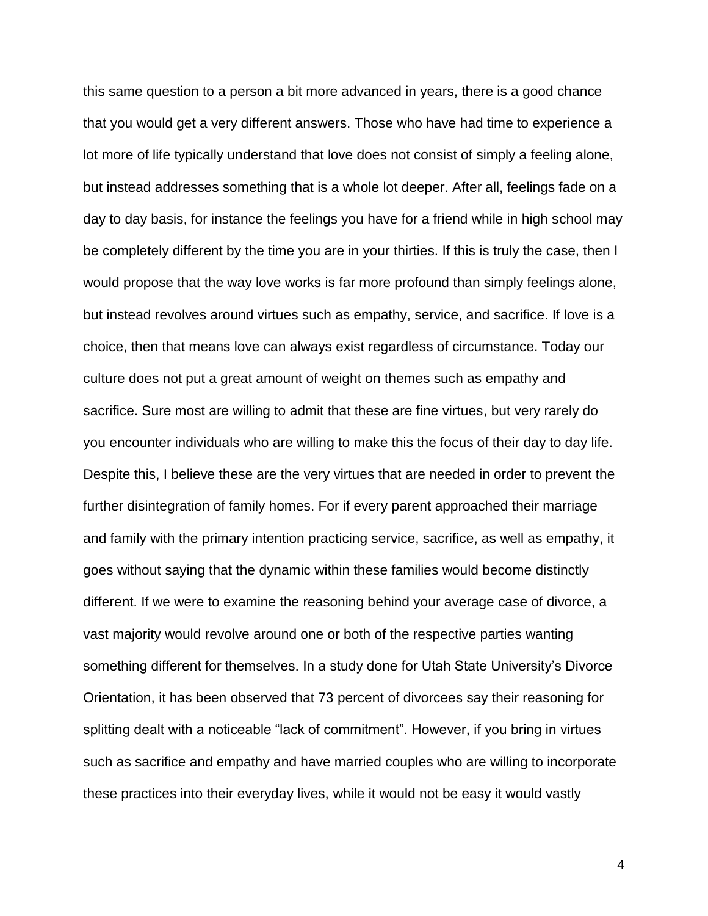this same question to a person a bit more advanced in years, there is a good chance that you would get a very different answers. Those who have had time to experience a lot more of life typically understand that love does not consist of simply a feeling alone, but instead addresses something that is a whole lot deeper. After all, feelings fade on a day to day basis, for instance the feelings you have for a friend while in high school may be completely different by the time you are in your thirties. If this is truly the case, then I would propose that the way love works is far more profound than simply feelings alone, but instead revolves around virtues such as empathy, service, and sacrifice. If love is a choice, then that means love can always exist regardless of circumstance. Today our culture does not put a great amount of weight on themes such as empathy and sacrifice. Sure most are willing to admit that these are fine virtues, but very rarely do you encounter individuals who are willing to make this the focus of their day to day life. Despite this, I believe these are the very virtues that are needed in order to prevent the further disintegration of family homes. For if every parent approached their marriage and family with the primary intention practicing service, sacrifice, as well as empathy, it goes without saying that the dynamic within these families would become distinctly different. If we were to examine the reasoning behind your average case of divorce, a vast majority would revolve around one or both of the respective parties wanting something different for themselves. In a study done for Utah State University's Divorce Orientation, it has been observed that 73 percent of divorcees say their reasoning for splitting dealt with a noticeable "lack of commitment". However, if you bring in virtues such as sacrifice and empathy and have married couples who are willing to incorporate these practices into their everyday lives, while it would not be easy it would vastly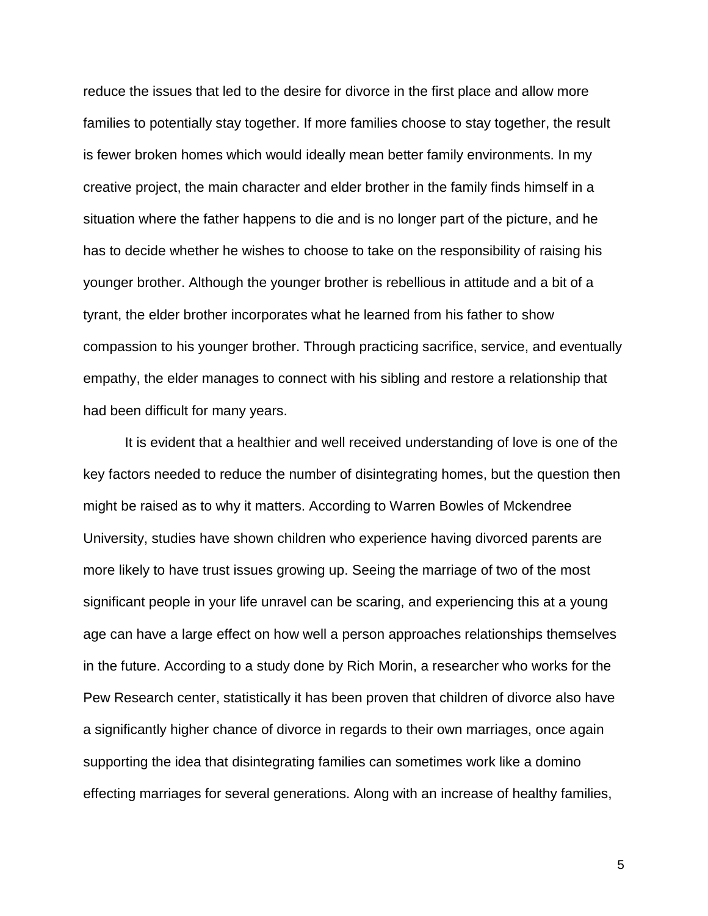reduce the issues that led to the desire for divorce in the first place and allow more families to potentially stay together. If more families choose to stay together, the result is fewer broken homes which would ideally mean better family environments. In my creative project, the main character and elder brother in the family finds himself in a situation where the father happens to die and is no longer part of the picture, and he has to decide whether he wishes to choose to take on the responsibility of raising his younger brother. Although the younger brother is rebellious in attitude and a bit of a tyrant, the elder brother incorporates what he learned from his father to show compassion to his younger brother. Through practicing sacrifice, service, and eventually empathy, the elder manages to connect with his sibling and restore a relationship that had been difficult for many years.

It is evident that a healthier and well received understanding of love is one of the key factors needed to reduce the number of disintegrating homes, but the question then might be raised as to why it matters. According to Warren Bowles of Mckendree University, studies have shown children who experience having divorced parents are more likely to have trust issues growing up. Seeing the marriage of two of the most significant people in your life unravel can be scaring, and experiencing this at a young age can have a large effect on how well a person approaches relationships themselves in the future. According to a study done by Rich Morin, a researcher who works for the Pew Research center, statistically it has been proven that children of divorce also have a significantly higher chance of divorce in regards to their own marriages, once again supporting the idea that disintegrating families can sometimes work like a domino effecting marriages for several generations. Along with an increase of healthy families,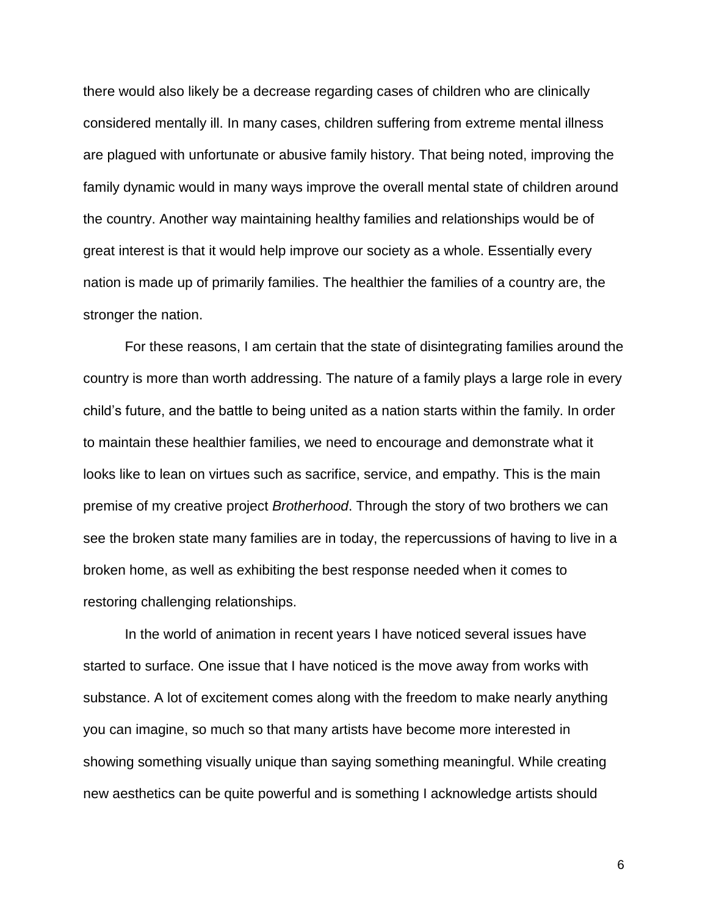there would also likely be a decrease regarding cases of children who are clinically considered mentally ill. In many cases, children suffering from extreme mental illness are plagued with unfortunate or abusive family history. That being noted, improving the family dynamic would in many ways improve the overall mental state of children around the country. Another way maintaining healthy families and relationships would be of great interest is that it would help improve our society as a whole. Essentially every nation is made up of primarily families. The healthier the families of a country are, the stronger the nation.

For these reasons, I am certain that the state of disintegrating families around the country is more than worth addressing. The nature of a family plays a large role in every child's future, and the battle to being united as a nation starts within the family. In order to maintain these healthier families, we need to encourage and demonstrate what it looks like to lean on virtues such as sacrifice, service, and empathy. This is the main premise of my creative project *Brotherhood*. Through the story of two brothers we can see the broken state many families are in today, the repercussions of having to live in a broken home, as well as exhibiting the best response needed when it comes to restoring challenging relationships.

In the world of animation in recent years I have noticed several issues have started to surface. One issue that I have noticed is the move away from works with substance. A lot of excitement comes along with the freedom to make nearly anything you can imagine, so much so that many artists have become more interested in showing something visually unique than saying something meaningful. While creating new aesthetics can be quite powerful and is something I acknowledge artists should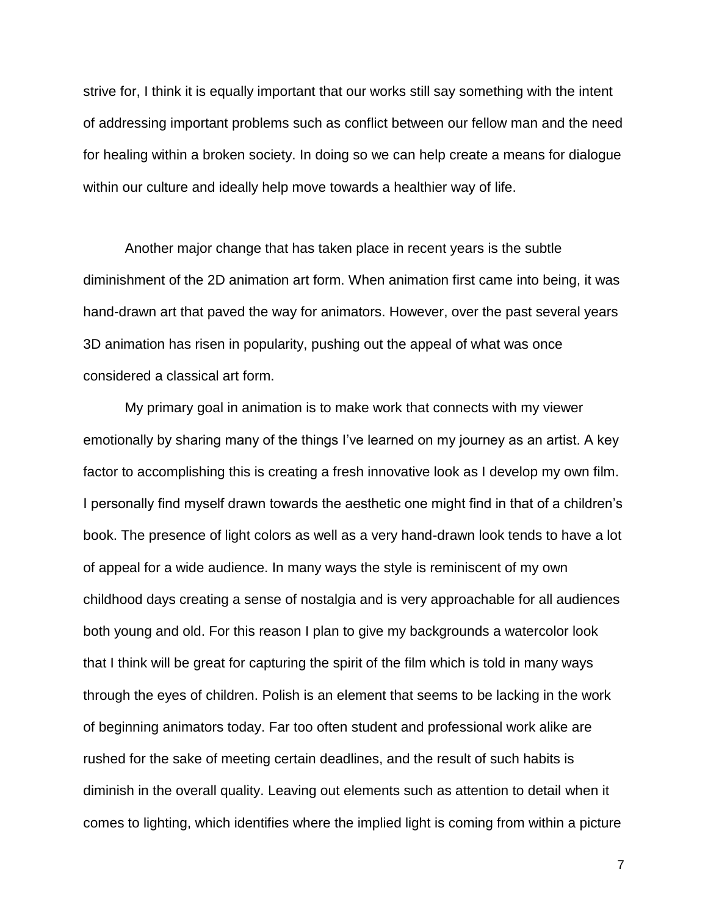strive for, I think it is equally important that our works still say something with the intent of addressing important problems such as conflict between our fellow man and the need for healing within a broken society. In doing so we can help create a means for dialogue within our culture and ideally help move towards a healthier way of life.

Another major change that has taken place in recent years is the subtle diminishment of the 2D animation art form. When animation first came into being, it was hand-drawn art that paved the way for animators. However, over the past several years 3D animation has risen in popularity, pushing out the appeal of what was once considered a classical art form.

My primary goal in animation is to make work that connects with my viewer emotionally by sharing many of the things I've learned on my journey as an artist. A key factor to accomplishing this is creating a fresh innovative look as I develop my own film. I personally find myself drawn towards the aesthetic one might find in that of a children's book. The presence of light colors as well as a very hand-drawn look tends to have a lot of appeal for a wide audience. In many ways the style is reminiscent of my own childhood days creating a sense of nostalgia and is very approachable for all audiences both young and old. For this reason I plan to give my backgrounds a watercolor look that I think will be great for capturing the spirit of the film which is told in many ways through the eyes of children. Polish is an element that seems to be lacking in the work of beginning animators today. Far too often student and professional work alike are rushed for the sake of meeting certain deadlines, and the result of such habits is diminish in the overall quality. Leaving out elements such as attention to detail when it comes to lighting, which identifies where the implied light is coming from within a picture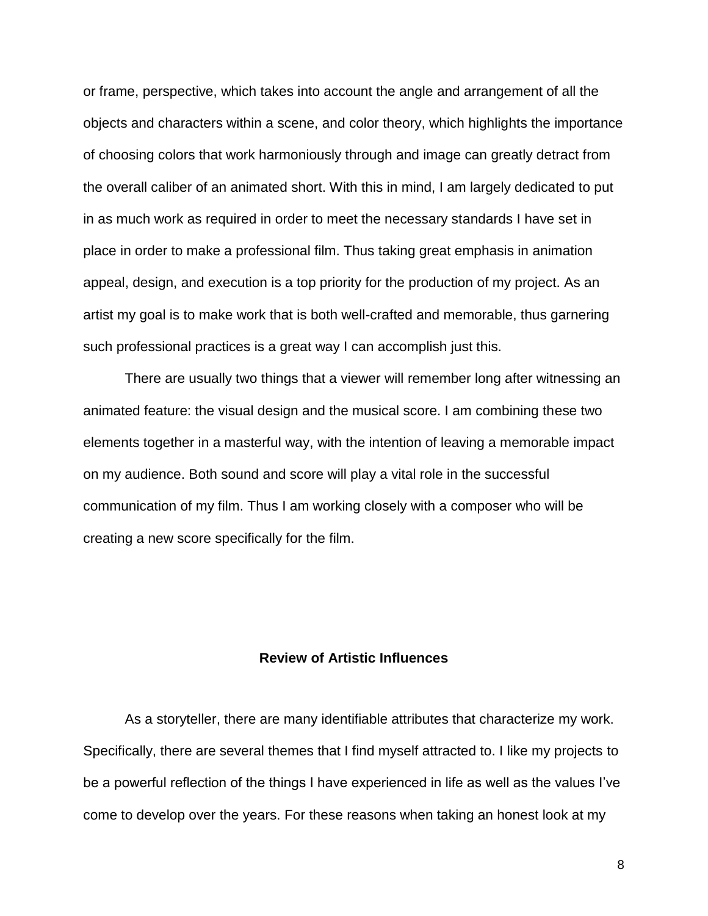or frame, perspective, which takes into account the angle and arrangement of all the objects and characters within a scene, and color theory, which highlights the importance of choosing colors that work harmoniously through and image can greatly detract from the overall caliber of an animated short. With this in mind, I am largely dedicated to put in as much work as required in order to meet the necessary standards I have set in place in order to make a professional film. Thus taking great emphasis in animation appeal, design, and execution is a top priority for the production of my project. As an artist my goal is to make work that is both well-crafted and memorable, thus garnering such professional practices is a great way I can accomplish just this.

There are usually two things that a viewer will remember long after witnessing an animated feature: the visual design and the musical score. I am combining these two elements together in a masterful way, with the intention of leaving a memorable impact on my audience. Both sound and score will play a vital role in the successful communication of my film. Thus I am working closely with a composer who will be creating a new score specifically for the film.

## **Review of Artistic Influences**

As a storyteller, there are many identifiable attributes that characterize my work. Specifically, there are several themes that I find myself attracted to. I like my projects to be a powerful reflection of the things I have experienced in life as well as the values I've come to develop over the years. For these reasons when taking an honest look at my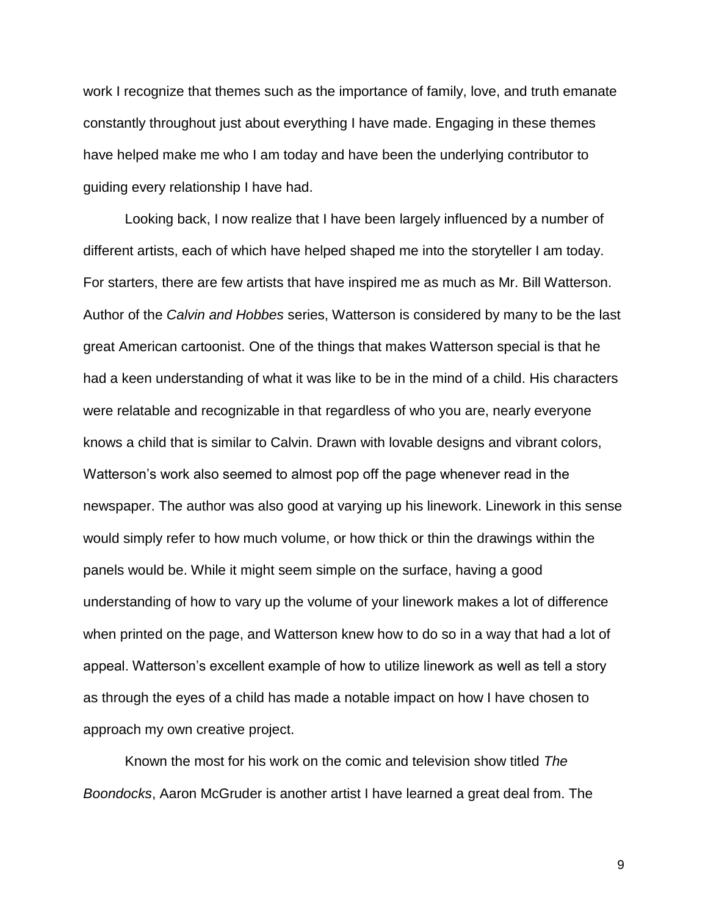work I recognize that themes such as the importance of family, love, and truth emanate constantly throughout just about everything I have made. Engaging in these themes have helped make me who I am today and have been the underlying contributor to guiding every relationship I have had.

Looking back, I now realize that I have been largely influenced by a number of different artists, each of which have helped shaped me into the storyteller I am today. For starters, there are few artists that have inspired me as much as Mr. Bill Watterson. Author of the *Calvin and Hobbes* series, Watterson is considered by many to be the last great American cartoonist. One of the things that makes Watterson special is that he had a keen understanding of what it was like to be in the mind of a child. His characters were relatable and recognizable in that regardless of who you are, nearly everyone knows a child that is similar to Calvin. Drawn with lovable designs and vibrant colors, Watterson's work also seemed to almost pop off the page whenever read in the newspaper. The author was also good at varying up his linework. Linework in this sense would simply refer to how much volume, or how thick or thin the drawings within the panels would be. While it might seem simple on the surface, having a good understanding of how to vary up the volume of your linework makes a lot of difference when printed on the page, and Watterson knew how to do so in a way that had a lot of appeal. Watterson's excellent example of how to utilize linework as well as tell a story as through the eyes of a child has made a notable impact on how I have chosen to approach my own creative project.

Known the most for his work on the comic and television show titled *The Boondocks*, Aaron McGruder is another artist I have learned a great deal from. The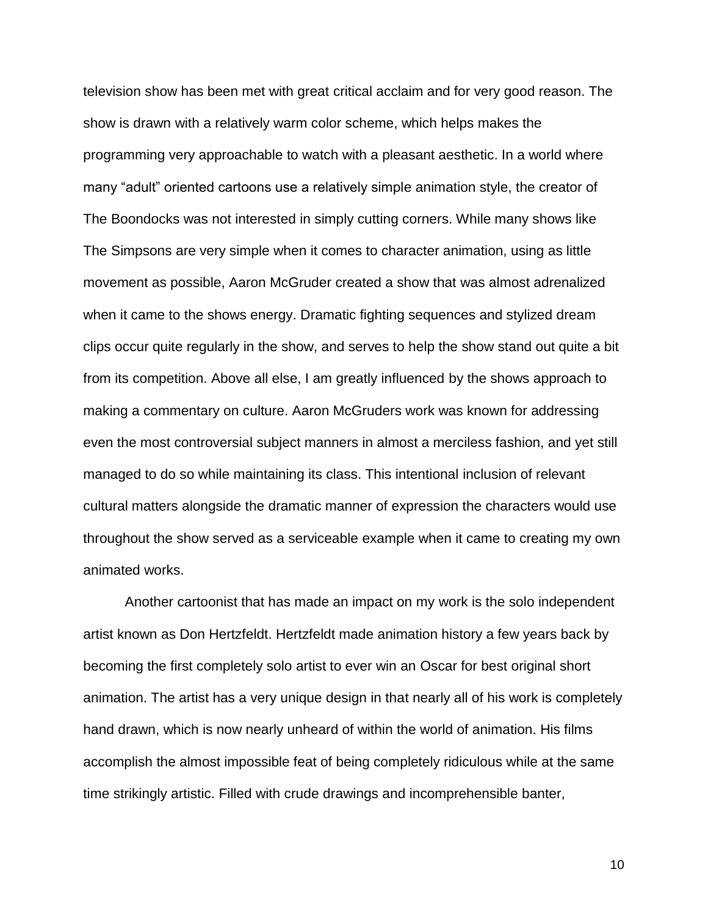television show has been met with great critical acclaim and for very good reason. The show is drawn with a relatively warm color scheme, which helps makes the programming very approachable to watch with a pleasant aesthetic. In a world where many "adult" oriented cartoons use a relatively simple animation style, the creator of The Boondocks was not interested in simply cutting corners. While many shows like The Simpsons are very simple when it comes to character animation, using as little movement as possible, Aaron McGruder created a show that was almost adrenalized when it came to the shows energy. Dramatic fighting sequences and stylized dream clips occur quite regularly in the show, and serves to help the show stand out quite a bit from its competition. Above all else, I am greatly influenced by the shows approach to making a commentary on culture. Aaron McGruders work was known for addressing even the most controversial subject manners in almost a merciless fashion, and yet still managed to do so while maintaining its class. This intentional inclusion of relevant cultural matters alongside the dramatic manner of expression the characters would use throughout the show served as a serviceable example when it came to creating my own animated works.

Another cartoonist that has made an impact on my work is the solo independent artist known as Don Hertzfeldt. Hertzfeldt made animation history a few years back by becoming the first completely solo artist to ever win an Oscar for best original short animation. The artist has a very unique design in that nearly all of his work is completely hand drawn, which is now nearly unheard of within the world of animation. His films accomplish the almost impossible feat of being completely ridiculous while at the same time strikingly artistic. Filled with crude drawings and incomprehensible banter,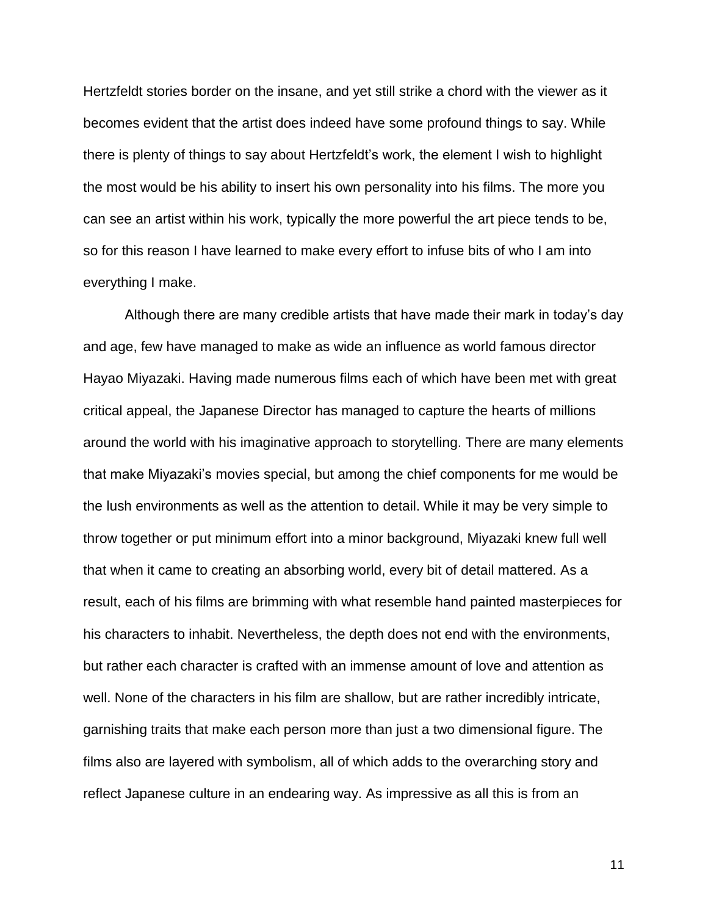Hertzfeldt stories border on the insane, and yet still strike a chord with the viewer as it becomes evident that the artist does indeed have some profound things to say. While there is plenty of things to say about Hertzfeldt's work, the element I wish to highlight the most would be his ability to insert his own personality into his films. The more you can see an artist within his work, typically the more powerful the art piece tends to be, so for this reason I have learned to make every effort to infuse bits of who I am into everything I make.

Although there are many credible artists that have made their mark in today's day and age, few have managed to make as wide an influence as world famous director Hayao Miyazaki. Having made numerous films each of which have been met with great critical appeal, the Japanese Director has managed to capture the hearts of millions around the world with his imaginative approach to storytelling. There are many elements that make Miyazaki's movies special, but among the chief components for me would be the lush environments as well as the attention to detail. While it may be very simple to throw together or put minimum effort into a minor background, Miyazaki knew full well that when it came to creating an absorbing world, every bit of detail mattered. As a result, each of his films are brimming with what resemble hand painted masterpieces for his characters to inhabit. Nevertheless, the depth does not end with the environments, but rather each character is crafted with an immense amount of love and attention as well. None of the characters in his film are shallow, but are rather incredibly intricate, garnishing traits that make each person more than just a two dimensional figure. The films also are layered with symbolism, all of which adds to the overarching story and reflect Japanese culture in an endearing way. As impressive as all this is from an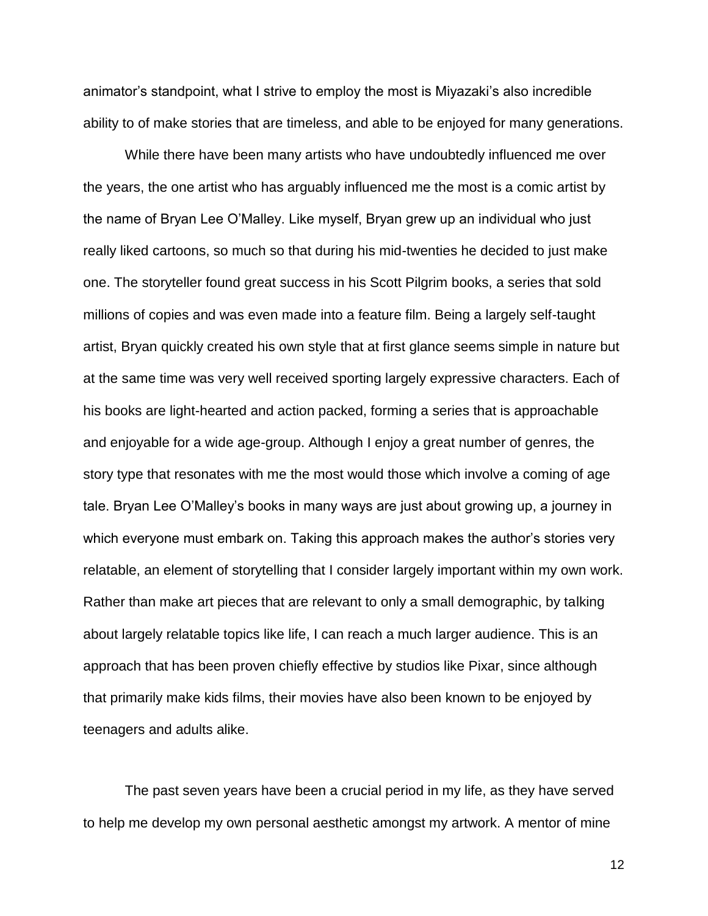animator's standpoint, what I strive to employ the most is Miyazaki's also incredible ability to of make stories that are timeless, and able to be enjoyed for many generations.

While there have been many artists who have undoubtedly influenced me over the years, the one artist who has arguably influenced me the most is a comic artist by the name of Bryan Lee O'Malley. Like myself, Bryan grew up an individual who just really liked cartoons, so much so that during his mid-twenties he decided to just make one. The storyteller found great success in his Scott Pilgrim books, a series that sold millions of copies and was even made into a feature film. Being a largely self-taught artist, Bryan quickly created his own style that at first glance seems simple in nature but at the same time was very well received sporting largely expressive characters. Each of his books are light-hearted and action packed, forming a series that is approachable and enjoyable for a wide age-group. Although I enjoy a great number of genres, the story type that resonates with me the most would those which involve a coming of age tale. Bryan Lee O'Malley's books in many ways are just about growing up, a journey in which everyone must embark on. Taking this approach makes the author's stories very relatable, an element of storytelling that I consider largely important within my own work. Rather than make art pieces that are relevant to only a small demographic, by talking about largely relatable topics like life, I can reach a much larger audience. This is an approach that has been proven chiefly effective by studios like Pixar, since although that primarily make kids films, their movies have also been known to be enjoyed by teenagers and adults alike.

The past seven years have been a crucial period in my life, as they have served to help me develop my own personal aesthetic amongst my artwork. A mentor of mine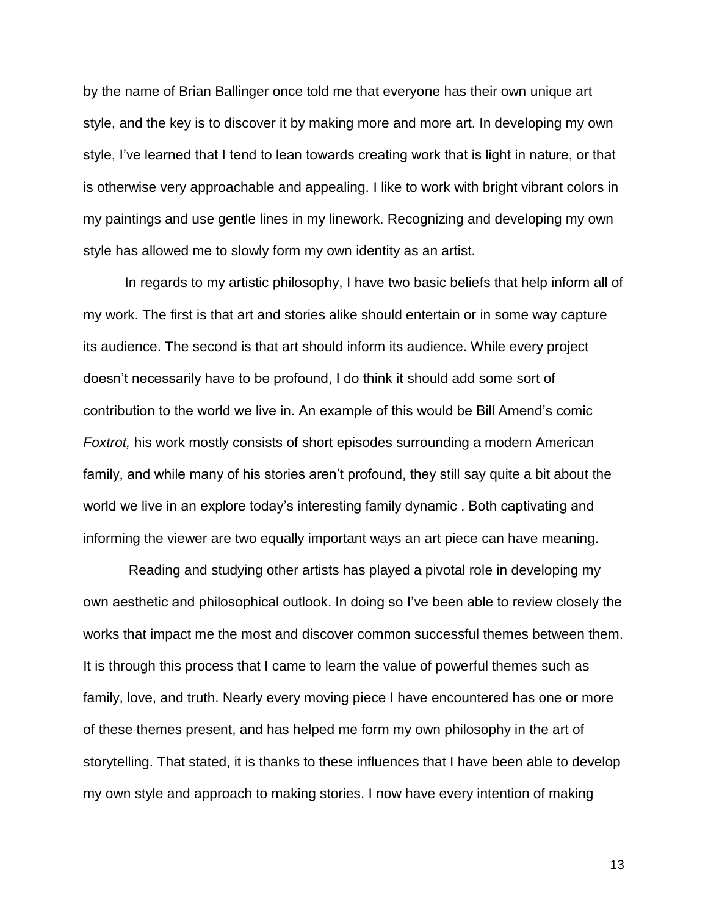by the name of Brian Ballinger once told me that everyone has their own unique art style, and the key is to discover it by making more and more art. In developing my own style, I've learned that I tend to lean towards creating work that is light in nature, or that is otherwise very approachable and appealing. I like to work with bright vibrant colors in my paintings and use gentle lines in my linework. Recognizing and developing my own style has allowed me to slowly form my own identity as an artist.

In regards to my artistic philosophy, I have two basic beliefs that help inform all of my work. The first is that art and stories alike should entertain or in some way capture its audience. The second is that art should inform its audience. While every project doesn't necessarily have to be profound, I do think it should add some sort of contribution to the world we live in. An example of this would be Bill Amend's comic *Foxtrot,* his work mostly consists of short episodes surrounding a modern American family, and while many of his stories aren't profound, they still say quite a bit about the world we live in an explore today's interesting family dynamic . Both captivating and informing the viewer are two equally important ways an art piece can have meaning.

Reading and studying other artists has played a pivotal role in developing my own aesthetic and philosophical outlook. In doing so I've been able to review closely the works that impact me the most and discover common successful themes between them. It is through this process that I came to learn the value of powerful themes such as family, love, and truth. Nearly every moving piece I have encountered has one or more of these themes present, and has helped me form my own philosophy in the art of storytelling. That stated, it is thanks to these influences that I have been able to develop my own style and approach to making stories. I now have every intention of making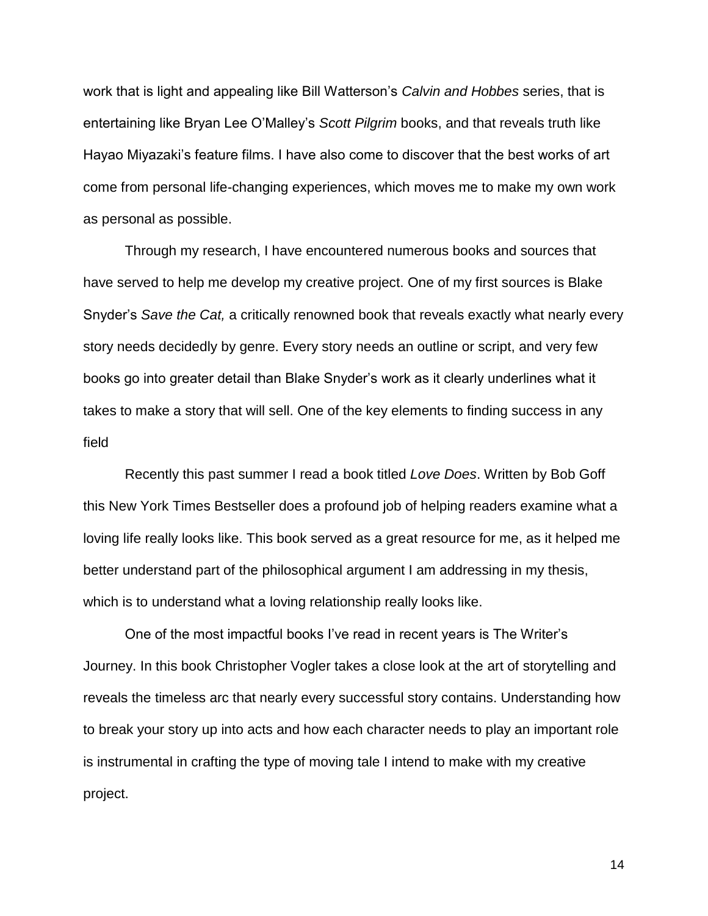work that is light and appealing like Bill Watterson's *Calvin and Hobbes* series, that is entertaining like Bryan Lee O'Malley's *Scott Pilgrim* books, and that reveals truth like Hayao Miyazaki's feature films. I have also come to discover that the best works of art come from personal life-changing experiences, which moves me to make my own work as personal as possible.

Through my research, I have encountered numerous books and sources that have served to help me develop my creative project. One of my first sources is Blake Snyder's *Save the Cat,* a critically renowned book that reveals exactly what nearly every story needs decidedly by genre. Every story needs an outline or script, and very few books go into greater detail than Blake Snyder's work as it clearly underlines what it takes to make a story that will sell. One of the key elements to finding success in any field

Recently this past summer I read a book titled *Love Does*. Written by Bob Goff this New York Times Bestseller does a profound job of helping readers examine what a loving life really looks like. This book served as a great resource for me, as it helped me better understand part of the philosophical argument I am addressing in my thesis, which is to understand what a loving relationship really looks like.

One of the most impactful books I've read in recent years is The Writer's Journey. In this book Christopher Vogler takes a close look at the art of storytelling and reveals the timeless arc that nearly every successful story contains. Understanding how to break your story up into acts and how each character needs to play an important role is instrumental in crafting the type of moving tale I intend to make with my creative project.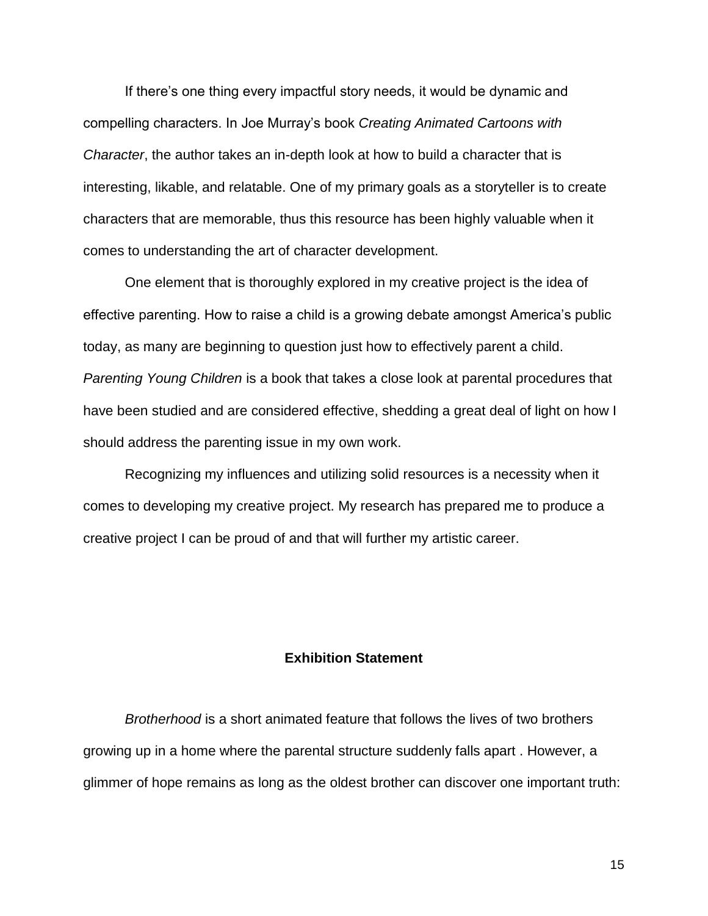If there's one thing every impactful story needs, it would be dynamic and compelling characters. In Joe Murray's book *Creating Animated Cartoons with Character*, the author takes an in-depth look at how to build a character that is interesting, likable, and relatable. One of my primary goals as a storyteller is to create characters that are memorable, thus this resource has been highly valuable when it comes to understanding the art of character development.

One element that is thoroughly explored in my creative project is the idea of effective parenting. How to raise a child is a growing debate amongst America's public today, as many are beginning to question just how to effectively parent a child. *Parenting Young Children* is a book that takes a close look at parental procedures that have been studied and are considered effective, shedding a great deal of light on how I should address the parenting issue in my own work.

Recognizing my influences and utilizing solid resources is a necessity when it comes to developing my creative project. My research has prepared me to produce a creative project I can be proud of and that will further my artistic career.

# **Exhibition Statement**

*Brotherhood* is a short animated feature that follows the lives of two brothers growing up in a home where the parental structure suddenly falls apart . However, a glimmer of hope remains as long as the oldest brother can discover one important truth: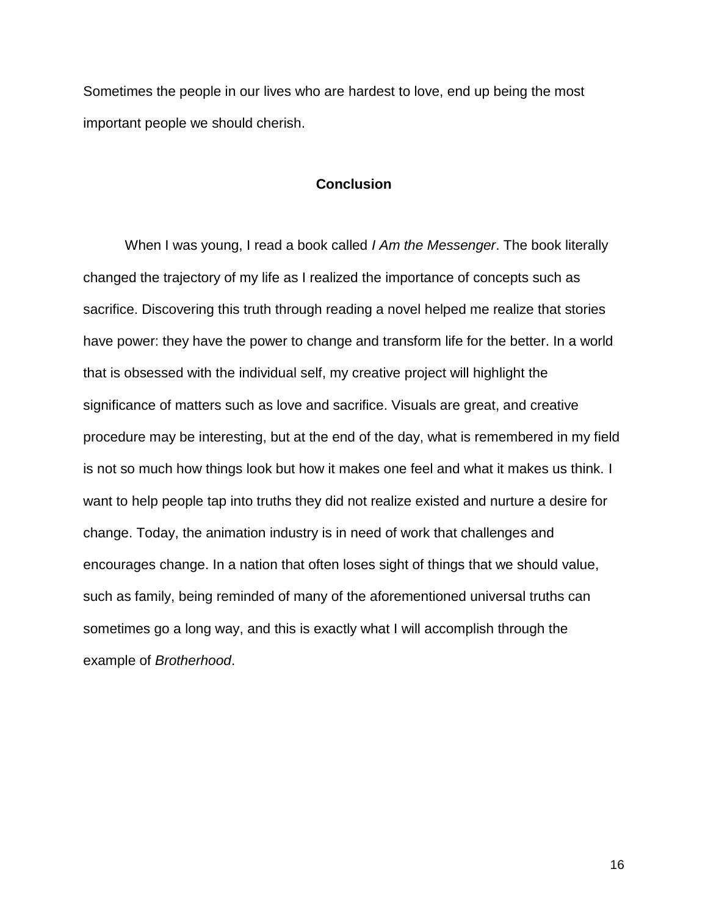Sometimes the people in our lives who are hardest to love, end up being the most important people we should cherish.

## **Conclusion**

When I was young, I read a book called *I Am the Messenger*. The book literally changed the trajectory of my life as I realized the importance of concepts such as sacrifice. Discovering this truth through reading a novel helped me realize that stories have power: they have the power to change and transform life for the better. In a world that is obsessed with the individual self, my creative project will highlight the significance of matters such as love and sacrifice. Visuals are great, and creative procedure may be interesting, but at the end of the day, what is remembered in my field is not so much how things look but how it makes one feel and what it makes us think. I want to help people tap into truths they did not realize existed and nurture a desire for change. Today, the animation industry is in need of work that challenges and encourages change. In a nation that often loses sight of things that we should value, such as family, being reminded of many of the aforementioned universal truths can sometimes go a long way, and this is exactly what I will accomplish through the example of *Brotherhood*.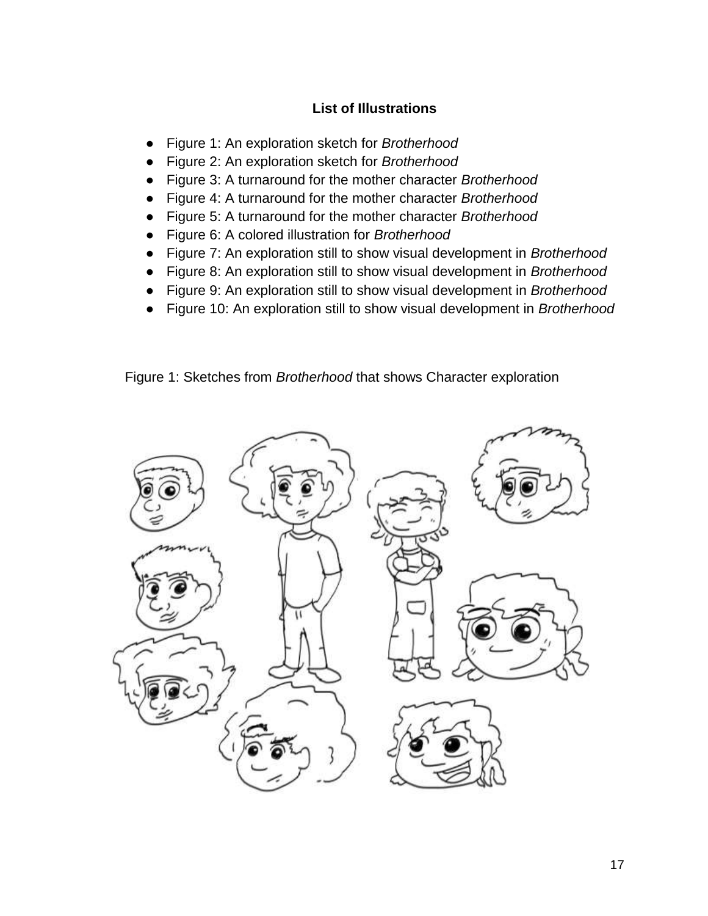# **List of Illustrations**

- Figure 1: An exploration sketch for *Brotherhood*
- Figure 2: An exploration sketch for *Brotherhood*
- Figure 3: A turnaround for the mother character *Brotherhood*
- Figure 4: A turnaround for the mother character *Brotherhood*
- Figure 5: A turnaround for the mother character *Brotherhood*
- Figure 6: A colored illustration for *Brotherhood*
- Figure 7: An exploration still to show visual development in *Brotherhood*
- Figure 8: An exploration still to show visual development in *Brotherhood*
- Figure 9: An exploration still to show visual development in *Brotherhood*
- Figure 10: An exploration still to show visual development in *Brotherhood*

Figure 1: Sketches from *Brotherhood* that shows Character exploration

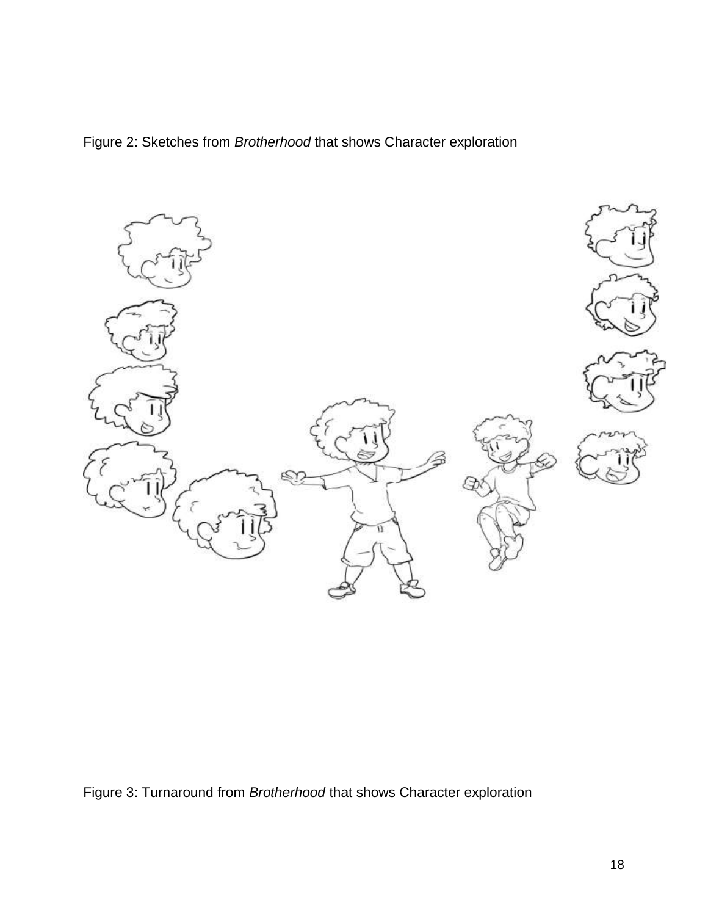Figure 2: Sketches from *Brotherhood* that shows Character exploration



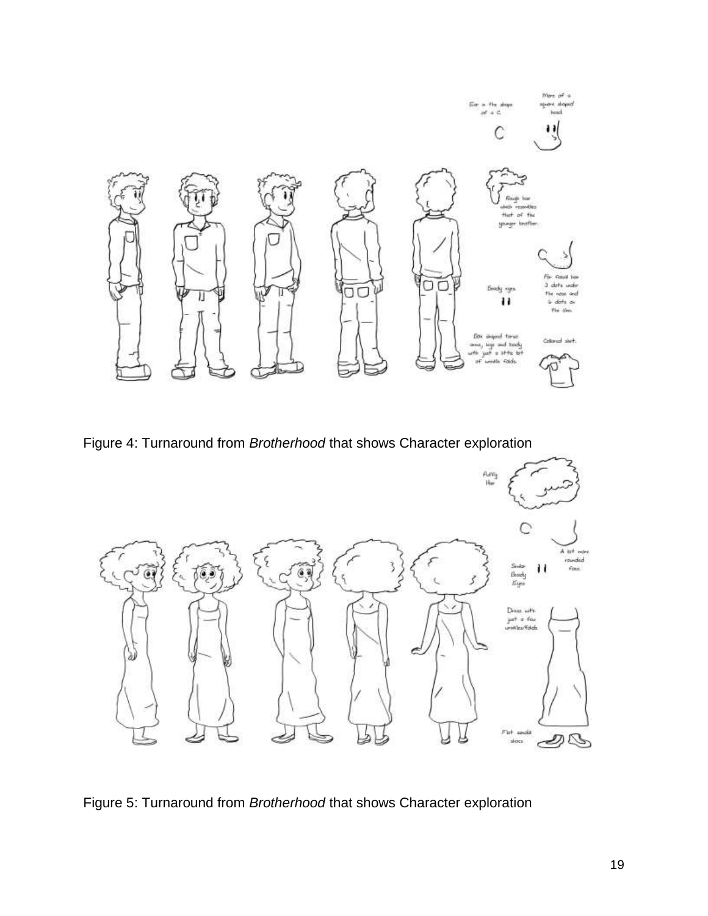

Figure 4: Turnaround from *Brotherhood* that shows Character exploration



Figure 5: Turnaround from *Brotherhood* that shows Character exploration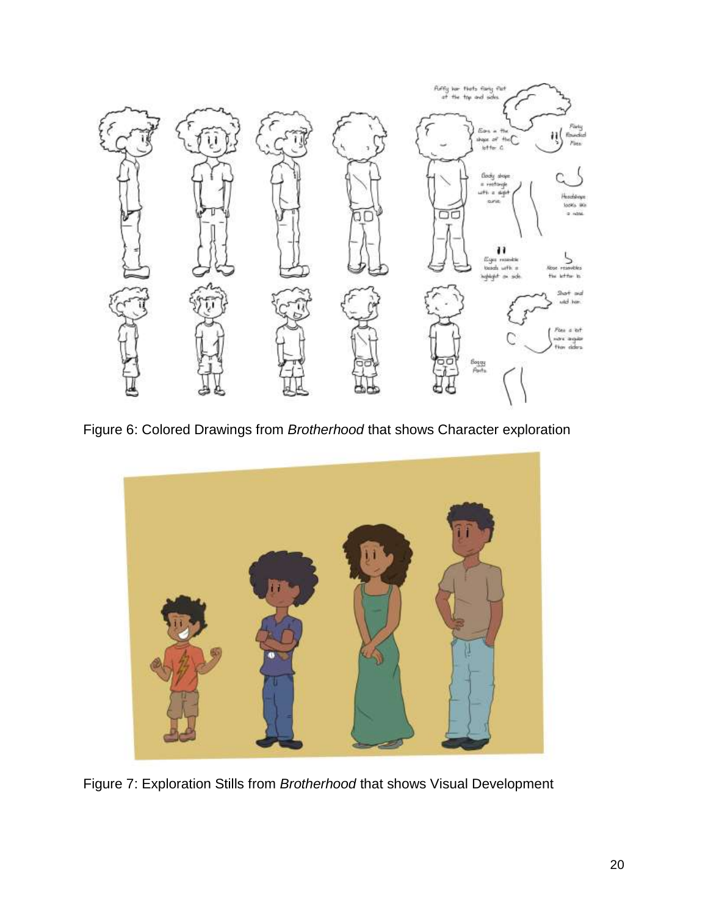

Figure 6: Colored Drawings from *Brotherhood* that shows Character exploration



Figure 7: Exploration Stills from *Brotherhood* that shows Visual Development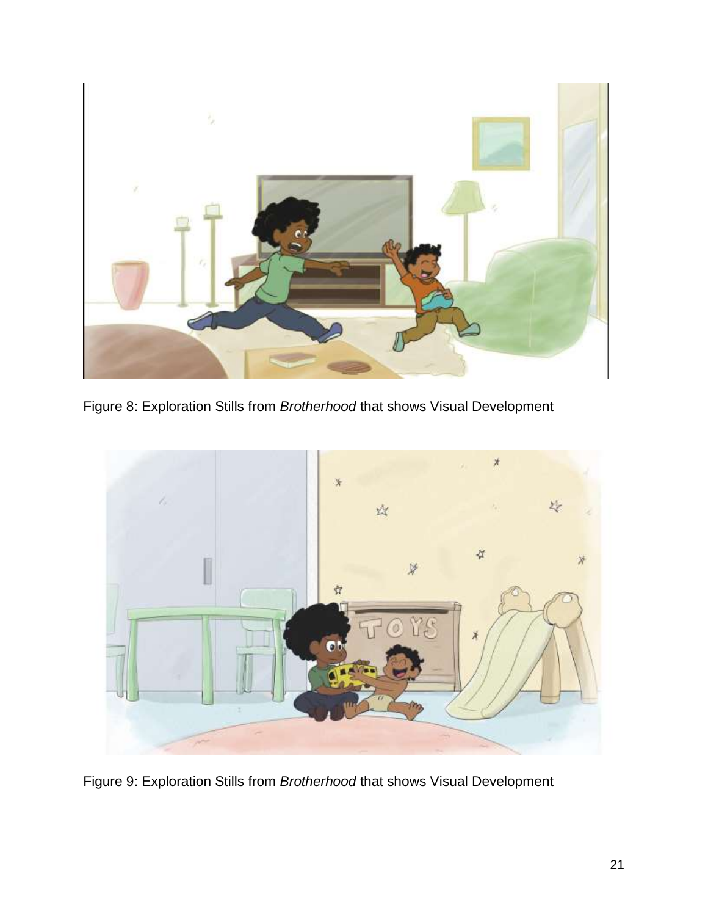

Figure 8: Exploration Stills from *Brotherhood* that shows Visual Development



Figure 9: Exploration Stills from *Brotherhood* that shows Visual Development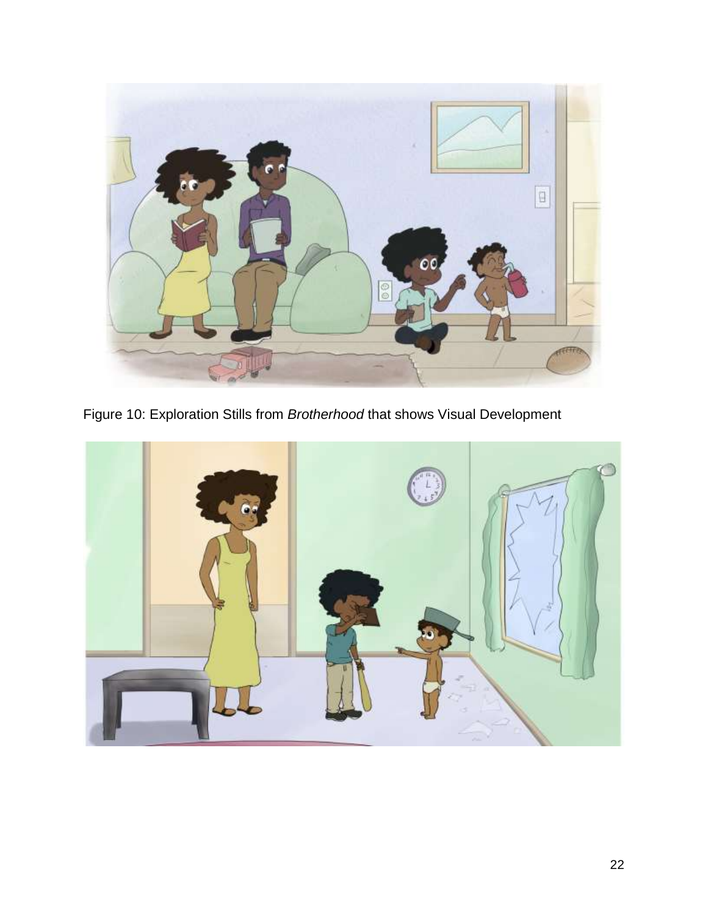

Figure 10: Exploration Stills from *Brotherhood* that shows Visual Development